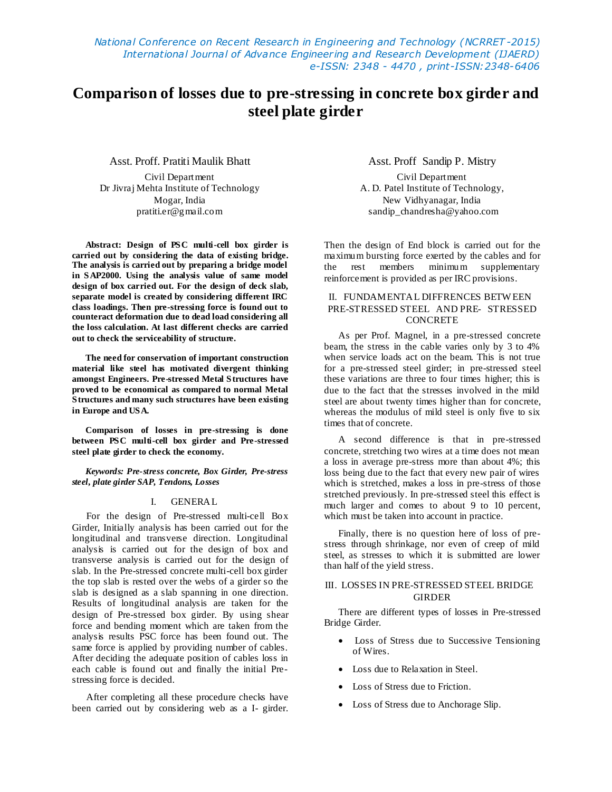*National Conference on Recent Research in Engineering and Technology (NCRRET -2015) International Journal of Advance Engineering and Research Development (IJAERD) e-ISSN: 2348 - 4470 , print-ISSN:2348-6406*

# **Comparison of losses due to pre-stressing in concrete box girder and steel plate girder**

Asst. Proff. Pratiti Maulik Bhatt

Civil Department Dr Jivraj Mehta Institute of Technology Mogar, India pratiti.er@gmail.com

**Abstract: Design of PSC multi-cell box girder is carried out by considering the data of existing bridge. The analysis is carried out by preparing a bridge model in SAP2000. Using the analysis value of same model design of box carried out. For the design of deck slab, separate model is created by considering different IRC class loadings. Then pre-stressing force is found out to counteract deformation due to dead load considering all the loss calculation. At last different checks are carried out to check the serviceability of structure.**

**The need for conservation of important construction material like steel has motivated divergent thinking amongst Engineers. Pre-stressed Metal Structures have proved to be economical as compared to normal Metal Structures and many such structures have been existing in Europe and USA.**

**Comparison of losses in pre-stressing is done between PSC multi-cell box girder and Pre-stressed steel plate girder to check the economy.**

*Keywords: Pre-stress concrete, Box Girder, Pre-stress steel, plate girder SAP, Tendons, Losses*

#### I. GENERAL

For the design of Pre-stressed multi-cell Box Girder, Initially analysis has been carried out for the longitudinal and transverse direction. Longitudinal analysis is carried out for the design of box and transverse analysis is carried out for the design of slab. In the Pre-stressed concrete multi-cell box girder the top slab is rested over the webs of a girder so the slab is designed as a slab spanning in one direction. Results of longitudinal analysis are taken for the design of Pre-stressed box girder. By using shear force and bending moment which are taken from the analysis results PSC force has been found out. The same force is applied by providing number of cables. After deciding the adequate position of cables loss in each cable is found out and finally the initial Prestressing force is decided.

After completing all these procedure checks have been carried out by considering web as a I- girder.

Asst. Proff Sandip P. Mistry

Civil Department A. D. Patel Institute of Technology, New Vidhyanagar, India [sandip\\_chandresha@yahoo.com](mailto:sandip_chandresha@yahoo.com)

Then the design of End block is carried out for the maximum bursting force exerted by the cables and for the rest members minimum supplementary reinforcement is provided as per IRC provisions.

# II. FUNDAMENTAL DIFFRENCES BETW EEN PRE-STRESSED STEEL AND PRE- STRESSED **CONCRETE**

As per Prof. Magnel, in a pre-stressed concrete beam, the stress in the cable varies only by 3 to 4% when service loads act on the beam. This is not true for a pre-stressed steel girder; in pre-stressed steel these variations are three to four times higher; this is due to the fact that the stresses involved in the mild steel are about twenty times higher than for concrete, whereas the modulus of mild steel is only five to six times that of concrete.

A second difference is that in pre-stressed concrete, stretching two wires at a time does not mean a loss in average pre-stress more than about 4%; this loss being due to the fact that every new pair of wires which is stretched, makes a loss in pre-stress of those stretched previously. In pre-stressed steel this effect is much larger and comes to about 9 to 10 percent, which must be taken into account in practice.

Finally, there is no question here of loss of prestress through shrinkage, nor even of creep of mild steel, as stresses to which it is submitted are lower than half of the yield stress.

## III. LOSSES IN PRE-STRESSED STEEL BRIDGE **GIRDER**

There are different types of losses in Pre-stressed Bridge Girder.

- Loss of Stress due to Successive Tensioning of Wires.
- Loss due to Relaxation in Steel.
- Loss of Stress due to Friction.
- Loss of Stress due to Anchorage Slip.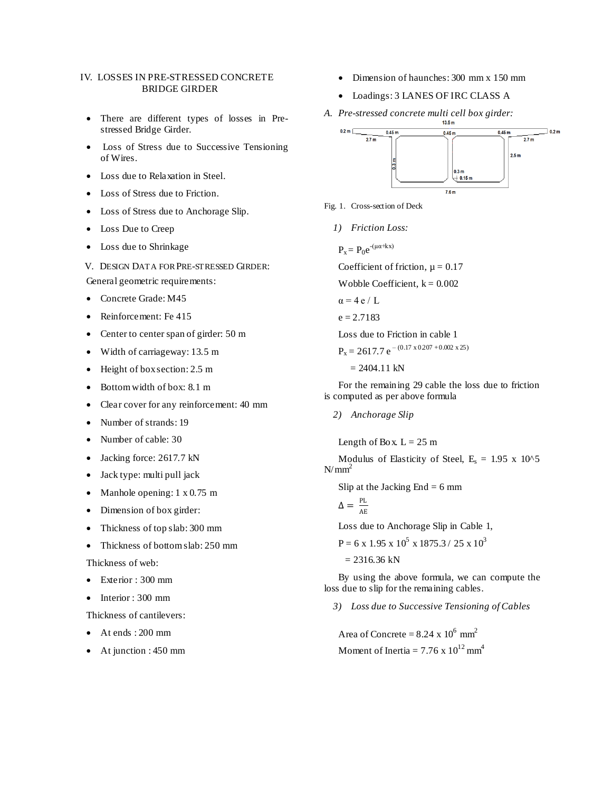# IV. LOSSES IN PRE-STRESSED CONCRETE BRIDGE GIRDER

- There are different types of losses in Prestressed Bridge Girder.
- Loss of Stress due to Successive Tensioning of Wires.
- Loss due to Relaxation in Steel.
- Loss of Stress due to Friction.
- Loss of Stress due to Anchorage Slip.
- Loss Due to Creep
- Loss due to Shrinkage
- V. DESIGN DATA FOR PRE-STRESSED GIRDER:

General geometric requirements:

- Concrete Grade: M45
- Reinforcement: Fe 415
- Center to center span of girder: 50 m
- Width of carriageway: 13.5 m
- Height of box section: 2.5 m
- Bottom width of box: 8.1 m
- Clear cover for any reinforcement: 40 mm
- Number of strands: 19
- Number of cable: 30
- Jacking force: 2617.7 kN
- Jack type: multi pull jack
- Manhole opening: 1 x 0.75 m
- Dimension of box girder:
- Thickness of top slab: 300 mm
- Thickness of bottom slab: 250 mm

Thickness of web:

- Exterior : 300 mm
- Interior : 300 mm

Thickness of cantilevers:

- At ends : 200 mm
- At junction : 450 mm
- Dimension of haunches: 300 mm x 150 mm
- Loadings: 3 LANES OF IRC CLASS A
- *A. Pre-stressed concrete multi cell box girder:*



- Fig. 1. Cross-section of Deck
	- *1) Friction Loss:*

 $P_x = P_0 e^{-(\mu \alpha + kx)}$ 

Coefficient of friction,  $\mu = 0.17$ 

Wobble Coefficient,  $k = 0.002$ 

 $\alpha = 4 e / L$ 

 $e = 2.7183$ 

Loss due to Friction in cable 1

 $P_x = 2617.7 e^{-(0.17 x 0.207 + 0.002 x 25)}$ 

 $= 2404.11$  kN

For the remaining 29 cable the loss due to friction is computed as per above formula

*2) Anchorage Slip*

Length of Box.  $L = 25$  m

Modulus of Elasticity of Steel,  $E_s = 1.95 \times 10^{6}5$  $N/mm^2$ 

Slip at the Jacking  $End = 6$  mm

$$
\Delta = \frac{PL}{AE}
$$

Loss due to Anchorage Slip in Cable 1,

 $P = 6$  x 1.95 x 10<sup>5</sup> x 1875.3 / 25 x 10<sup>3</sup>

 $= 2316.36$  kN

By using the above formula, we can compute the loss due to slip for the remaining cables.

*3) Loss due to Successive Tensioning of Cables*

Area of Concrete =  $8.24 \times 10^6 \text{ mm}^2$ Moment of Inertia =  $7.76 \times 10^{12}$  mm<sup>4</sup>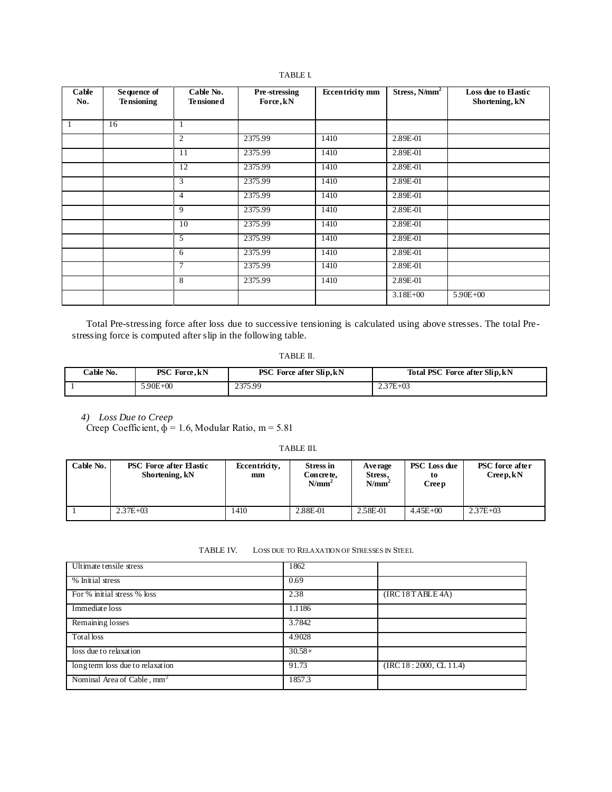| Cable<br>No. | Sequence of<br><b>Tensioning</b> | Cable No.<br><b>Tensioned</b> | Pre-stressing<br>Force, kN | <b>Eccentricity mm</b> | Stress, N/mm <sup>2</sup> | Loss due to Elastic<br>Shortening, kN |
|--------------|----------------------------------|-------------------------------|----------------------------|------------------------|---------------------------|---------------------------------------|
| 1            | 16                               | 1                             |                            |                        |                           |                                       |
|              |                                  | 2                             | 2375.99                    | 1410                   | 2.89E-01                  |                                       |
|              |                                  | 11                            | 2375.99                    | 1410                   | 2.89E-01                  |                                       |
|              |                                  | 12                            | 2375.99                    | 1410                   | 2.89E-01                  |                                       |
|              |                                  | 3                             | 2375.99                    | 1410                   | 2.89E-01                  |                                       |
|              |                                  | $\overline{4}$                | 2375.99                    | 1410                   | 2.89E-01                  |                                       |
|              |                                  | 9                             | 2375.99                    | 1410                   | 2.89E-01                  |                                       |
|              |                                  | 10                            | 2375.99                    | 1410                   | 2.89E-01                  |                                       |
|              |                                  | 5                             | 2375.99                    | 1410                   | 2.89E-01                  |                                       |
|              |                                  | 6                             | 2375.99                    | 1410                   | 2.89E-01                  |                                       |
|              |                                  | 7                             | 2375.99                    | 1410                   | 2.89E-01                  |                                       |
|              |                                  | 8                             | 2375.99                    | 1410                   | 2.89E-01                  |                                       |
|              |                                  |                               |                            |                        | $3.18E + 00$              | $5.90E + 00$                          |

Total Pre-stressing force after loss due to successive tensioning is calculated using above stresses. The total Prestressing force is computed after slip in the following table.

TABLE II.

| Cable No. | PSC Force, kN | <b>PSC</b> Force after Slip, kN | Total PSC Force after Slip, kN |
|-----------|---------------|---------------------------------|--------------------------------|
|           | 5.90E+00      | 2375.99                         | $2.37E + 03$                   |

*4) Loss Due to Creep*

Creep Coefficient,  $\phi = 1.6$ , Modular Ratio, m = 5.81

TABLE III.

| Cable No. | <b>PSC</b> Force after Elastic<br>Shortening, kN | Eccentricity,<br>mm | <b>Stress in</b><br>Concrete,<br>$N/mm^2$ | A ve rage<br>Stress.<br>$N/mm^2$ | <b>PSC</b> Loss due<br>to<br>Creep | <b>PSC</b> force after<br>Creep, kN |
|-----------|--------------------------------------------------|---------------------|-------------------------------------------|----------------------------------|------------------------------------|-------------------------------------|
|           | $2.37E + 03$                                     | 1410                | 2.88E-01                                  | 2.58E-01                         | $4.45E + 00$                       | $2.37E + 03$                        |

TABLE IV. LOSS DUE TO RELAXATION OF STRESSES IN STEEL

| Ultimate tensile stress                | 1862     |                         |
|----------------------------------------|----------|-------------------------|
| % Initial stress                       | 0.69     |                         |
| For % initial stress % loss            | 2.38     | (IRC 18 TABLE 4A)       |
| Immediate loss                         | 1.1186   |                         |
| Remaining losses                       | 3.7842   |                         |
| Total loss                             | 4.9028   |                         |
| loss due to relaxation                 | $30.58+$ |                         |
| long term loss due to relaxation       | 91.73    | (IRC 18: 2000, CL 11.4) |
| Nominal Area of Cable, mm <sup>2</sup> | 1857.3   |                         |

## TABLE I.